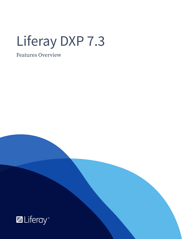# Liferay DXP 7.3

Features Overview

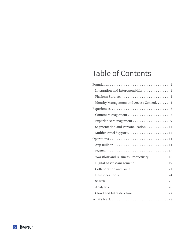## **Table of Contents**

| Integration and Interoperability  1      |
|------------------------------------------|
|                                          |
| Identity Management and Access Control 4 |
|                                          |
|                                          |
|                                          |
| Segmentation and Personalization  11     |
| Multichannel Support 12                  |
|                                          |
|                                          |
|                                          |
| Workflow and Business Productivity 18    |
| Digital Asset Management  19             |
|                                          |
|                                          |
|                                          |
|                                          |
| Cloud and Infrastructure  27             |
|                                          |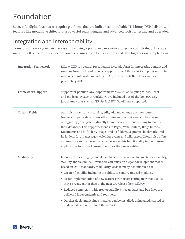# <span id="page-2-0"></span>Foundation

Successful digital businesses require platforms that are built on solid, reliable IT. Liferay DXP delivers with features like modular architecture, a powerful search engine and advanced tools for testing and upgrades.

#### Integration and Interoperability

Transform the way your business is run by using a platform can evolve alongside your strategy. Liferay's incredibly flexible architecture empowers businesses to bring systems and data together on one platform.

| <b>Integration Framework</b> | Liferay DXP is a central presentation layer platform for integrating content and<br>services from back end or legacy applications. Liferay DXP supports multiple<br>methods to integrate, including SOAP, REST, GraphQL, RSS, as well as<br>proprietary APIs.                                                                                                                                                                                                                                                                                                                                                                                                                                                           |
|------------------------------|-------------------------------------------------------------------------------------------------------------------------------------------------------------------------------------------------------------------------------------------------------------------------------------------------------------------------------------------------------------------------------------------------------------------------------------------------------------------------------------------------------------------------------------------------------------------------------------------------------------------------------------------------------------------------------------------------------------------------|
| <b>Frameworks Support</b>    | Support for popular JavaScript frameworks such as Angular, Vue.js, React<br>and modern JavaScript workflows are included out-of-the-box (OOTB).<br>Java frameworks such as JSF, SpringMVC, Vaadin are supported.                                                                                                                                                                                                                                                                                                                                                                                                                                                                                                        |
| <b>Custom Fields</b>         | Administrators can customize, edit, add and change user attributes<br>(name, company, date or any other information that needs to be tracked<br>or logged by your system) directly from Liferay, without needing to modify<br>their database. This support extends to Pages, Web Content, Blogs Entries,<br>Documents and its folders, images and its folders, Segments, bookmarks and<br>its folders, forum messages, calendar events and wiki pages. Liferay also offers<br>a framework so that developers can leverage this functionality in their custom<br>applications to support custom fields for their own entities.                                                                                           |
| Modularity                   | Liferay provides a highly modular architecture that allows for greater extensibility,<br>stability and flexibility. Developers can enjoy an elegant development model<br>based on OSGi standards. Modularity leads to many benefits such as:<br>• Greater flexibility including the ability to remove unused modules.<br>• Faster implementation of new features with users getting new modules as<br>they're ready rather than at the next GA release from Liferay.<br>• Reduced complexity with greater stability since updates and bug fixes are<br>delivered independently and routinely.<br>• Quicker deployment since modules can be installed, uninstalled, started or<br>updated all while running Liferay DXP. |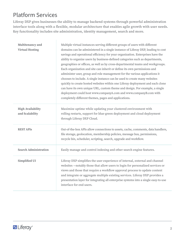#### <span id="page-3-0"></span>Platform Services

Liferay DXP gives businesses the ability to manage backend systems through powerful administration interface tools along with a flexible, modular architecture that enables agile growth with user needs. Key functionality includes site administration, identity management, search and more.

| Multitenancy and<br><b>Virtual Hosting</b>  | Multiple virtual instances serving different groups of users with different<br>domains can be administered in a single instance of Liferay DXP, leading to cost<br>savings and operational efficiency for your organization. Enterprises have the<br>ability to organize users by business-defined categories such as departments,<br>geographies or offices, as well as by cross-departmental teams and workgroups.<br>Each organization and site can inherit or define its own permissions and<br>administer user, group and role management for the various applications it<br>chooses to include. A single instance can be used to create many websites<br>quickly to create hosted websites within one Liferay deployment and each clone<br>can have its own unique URL, custom theme and design. For example, a single<br>deployment could host www.companyA.com and www.companyB.com with<br>completely different themes, pages and applications. |
|---------------------------------------------|----------------------------------------------------------------------------------------------------------------------------------------------------------------------------------------------------------------------------------------------------------------------------------------------------------------------------------------------------------------------------------------------------------------------------------------------------------------------------------------------------------------------------------------------------------------------------------------------------------------------------------------------------------------------------------------------------------------------------------------------------------------------------------------------------------------------------------------------------------------------------------------------------------------------------------------------------------|
| <b>High Availability</b><br>and Scalability | Maximize uptime while updating your clustered environment with<br>rolling restarts, support for blue-green deployment and cloud deployment<br>through Liferay DXP Cloud.                                                                                                                                                                                                                                                                                                                                                                                                                                                                                                                                                                                                                                                                                                                                                                                 |
| <b>REST APIS</b>                            | Out-of-the-box APIs allow connections to assets, cache, comments, data handlers,<br>file storage, geolocation, membership policies, message bus, permissions,<br>recycle bin, scheduler, scripting, search, upgrade and workflow.                                                                                                                                                                                                                                                                                                                                                                                                                                                                                                                                                                                                                                                                                                                        |
| <b>Search Administration</b>                | Easily manage and control indexing and other search engine features.                                                                                                                                                                                                                                                                                                                                                                                                                                                                                                                                                                                                                                                                                                                                                                                                                                                                                     |
| Simplified UI                               | Liferay DXP simplifies the user experience of internal, external and channel<br>websites - notably those that allow users to login for personalized services or<br>views and those that require a workflow approval process to update content<br>and integrate or aggregate multiple existing services. Liferay DXP provides a<br>presentation layer for integrating all enterprise systems into a single easy-to-use<br>interface for end users.                                                                                                                                                                                                                                                                                                                                                                                                                                                                                                        |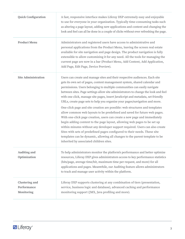| <b>Quick Configuration</b>                         | A fast, responsive interface makes Liferay DXP extremely easy and enjoyable<br>to use for everyone in your organization. Typically time-consuming tasks such<br>as altering a page layout, adding new applications and content and changing the<br>look and feel can all be done in a couple of clicks without ever refreshing the page.                                                                                                                                                                                                                                                                                                                                                                                                                                                                                                                                                                                                                                                                                                                                                                 |
|----------------------------------------------------|----------------------------------------------------------------------------------------------------------------------------------------------------------------------------------------------------------------------------------------------------------------------------------------------------------------------------------------------------------------------------------------------------------------------------------------------------------------------------------------------------------------------------------------------------------------------------------------------------------------------------------------------------------------------------------------------------------------------------------------------------------------------------------------------------------------------------------------------------------------------------------------------------------------------------------------------------------------------------------------------------------------------------------------------------------------------------------------------------------|
| <b>Product Menu</b>                                | Administrators and registered users have access to administrative and<br>personal applications from the Product Menu, leaving the screen real estate<br>available for site navigation and page design. The product navigation is fully<br>extensible to allow customizing it for any need. All the tools for managing the<br>current page are now in a bar (Product Menu, Add Content, Add Application,<br>Add Page, Edit Page, Device Preview).                                                                                                                                                                                                                                                                                                                                                                                                                                                                                                                                                                                                                                                         |
| <b>Site Administration</b>                         | Users can create and manage sites and their respective audiences. Each site<br>gets its own set of pages, content management system, shared calendar and<br>permissions. Users belonging to multiple communities can easily navigate<br>between sites. Page settings allow site administrators to change the look and feel<br>with one click, manage site pages, insert JavaScript and metadata, set friendly<br>URLs, create page sets to help you organize your pages/navigation and more.<br>One-click page and site creation are possible: web structures and templates<br>allow common web layouts to be predefined and saved for future web pages.<br>With one-click page creation, users can create a new page and immediately<br>begin adding content to the page layout, allowing web pages to be set up<br>within minutes without any developer support required. Users can also create<br>Sites with sets of predefined pages configured to their needs. These site<br>templates can be dynamic, allowing all changes to the parent template to be<br>inherited by associated children sites. |
| Auditing and<br>Optimization                       | To help administrators monitor the platform's performance and better optimize<br>resources, Liferay DXP gives administrators access to key performance statistics<br>(hits/page, average time/hit, maximum time per request, and more) for all<br>applications and pages. Meanwhile, our Auditing feature allows administrators<br>to track and manage user activity within the platform.                                                                                                                                                                                                                                                                                                                                                                                                                                                                                                                                                                                                                                                                                                                |
| <b>Clustering and</b><br>Performance<br>Monitoring | Liferay DXP supports clustering at any combination of tiers (presentation,<br>service, business logic and database), advanced caching and performance<br>monitoring support (JMX, Java profiling and more).                                                                                                                                                                                                                                                                                                                                                                                                                                                                                                                                                                                                                                                                                                                                                                                                                                                                                              |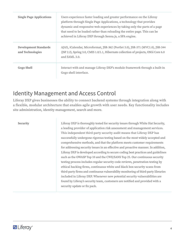<span id="page-5-0"></span>

| <b>Single Page Applications</b>                  | Users experience faster loading and greater performance on the Liferay<br>platform through Single Page Applications, a technology that provides<br>dynamic and responsive web experiences by taking only the parts of a page<br>that need to be loaded rather than reloading the entire page. This can be<br>achieved in Liferay DXP through Senna.js, a SPA engine. |
|--------------------------------------------------|----------------------------------------------------------------------------------------------------------------------------------------------------------------------------------------------------------------------------------------------------------------------------------------------------------------------------------------------------------------------|
| <b>Development Standards</b><br>and Technologies | AJAX, iCalendar, Microformat, JSR-362 (Portlet 3.0), JSR-371 (MVC1.0), JSR-344<br>(JSF 2.2), Spring 3.0, CMIS 1.0/1.1, Hibernate collection of projects, OSGi Core 6.0<br>and SAML 3.0.                                                                                                                                                                              |
| Gogo Shell                                       | Interact with and manage Liferay DXP's module framework through a built-in<br>Gogo shell interface.                                                                                                                                                                                                                                                                  |

#### Identity Management and Access Control

Liferay DXP gives businesses the ability to connect backend systems through integration along with a flexible, modular architecture that enables agile growth with user needs. Key functionality includes site administration, identity management, search and more.

**Security Example 2.1** Liferay DXP is thoroughly tested for security issues through White Hat Security, a leading provider of application risk assessment and management services. This independent third-party security audit means that Liferay DXP has successfully undergone rigorous testing based on the most widely accepted and comprehensive methods, and that the platform meets customer requirements for addressing security issues in an effective and proactive manner. In addition, Liferay DXP is developed according to secure coding best practices and guidelines such as the OWASP Top 10 and the CWE/SANS Top 25. Our continuous security testing process includes regular security code reviews, penetration testing by ethical hacking firms, continuous white and black box security scans from third-party firms and continuous vulnerability monitoring of third-party libraries included in Liferay DXP. Whenever new potential security vulnerabilities are found by Liferay's security team, customers are notified and provided with a security update or fix pack.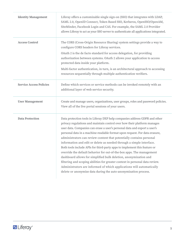| <b>Identity Management</b>     | Liferay offers a customizable single sign-on (SSO) that integrates with LDAP,<br>SAML 2.0, OpenID Connect, Token Based SSO, Kerberos, OpenSSO/OpenAM,<br>SiteMinder, Facebook Login and CAS. For example, the SAML 2.0 Provider<br>allows Liferay to act as your SSO server to authenticate all applications integrated.                                                                                                                                                                                                                                                                                                                                                                                                                                                                                                                                                                                               |
|--------------------------------|------------------------------------------------------------------------------------------------------------------------------------------------------------------------------------------------------------------------------------------------------------------------------------------------------------------------------------------------------------------------------------------------------------------------------------------------------------------------------------------------------------------------------------------------------------------------------------------------------------------------------------------------------------------------------------------------------------------------------------------------------------------------------------------------------------------------------------------------------------------------------------------------------------------------|
| <b>Access Control</b>          | The CORS (Cross-Origin Resource Sharing) system settings provide a way to<br>configure CORS headers for Liferay services.<br>OAuth 2 is the de facto standard for access delegation, for providing<br>authorization between systems. OAuth 2 allows your application to access<br>protected data inside your platform.<br>Multi-factor authentication, in turn, is an architectural approach to accessing<br>resources sequentially through multiple authentication verifiers.                                                                                                                                                                                                                                                                                                                                                                                                                                         |
| <b>Service Access Policies</b> | Define which services or service methods can be invoked remotely with an<br>additional layer of web service security.                                                                                                                                                                                                                                                                                                                                                                                                                                                                                                                                                                                                                                                                                                                                                                                                  |
| <b>User Management</b>         | Create and manage users, organizations, user groups, roles and password policies.<br>View all of the live portal sessions of your users.                                                                                                                                                                                                                                                                                                                                                                                                                                                                                                                                                                                                                                                                                                                                                                               |
| <b>Data Protection</b>         | Data protection tools in Liferay DXP help companies address GDPR and other<br>privacy regulations and maintain control over how their platform manages<br>user data. Companies can erase a user's personal data and export a user's<br>personal data in a machine-readable format upon request. For data erasure,<br>administrators can review content that potentially contains personal<br>information and edit or delete as needed through a simple interface.<br>Both tools include APIs for third-party apps to implement this feature or<br>override the default behavior for out-of-the-box apps. The management<br>dashboard allows for simplified bulk deletion, anonymization and<br>filtering and scoping abilities for greater context in personal data review.<br>Administrators are informed of which applications will automatically<br>delete or anonymize data during the auto-anonymization process. |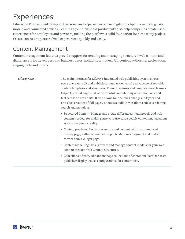# <span id="page-7-0"></span>Experiences

Liferay DXP is designed to support personalized experiences across digital touchpoints including web, mobile and connected devices. Features around business productivity also help companies create useful experiences for employees and partners, making the platform a solid foundation for almost any project. Create consistent, personalized experiences quickly and easily.

#### Content Management

Content management features provide support for creating and managing structured web content and digital assets for developers and business users, including a modern UI, content authoring, geolocation, staging tools and others.

Liferay CMS The main interface for Liferay's integrated web publishing system allows users to create, edit and publish content as well as take advantage of reusable content templates and structures. These structures and templates enable users to quickly build pages and websites while maintaining a common look and feel across an entire site. It also allows for one-click changes in layout and one-click creation of full pages. There is a built-in workflow, article versioning, search and metadata.

- Structured Content: Manage and create different content models and web content needed, for making sure your use case-specific content management system becomes a reality.
- Content previews: Easily preview created content within an associated display page, within a page before publication in a fragment and in draft form within a Widget page.
- Content Modelling: Easily create and manage content models for your web content through Web Content Structures.
- Collections: Create, edit and manage collections of content in "sets" for asset publisher display. Reuse configurations for content sets.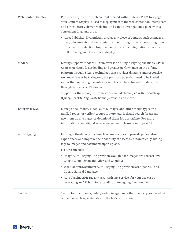| <b>Web Content Display</b> | Publishes any piece of web content created within Liferay WEM to a page.<br>Web Content Display is used to display most of the web content on Liferay.com<br>and other Liferay-driven websites and can be arranged on a page with a<br>convenient drag-and-drop.<br>• Asset Publisher: Dynamically display any piece of content, such as images,<br>blogs, documents and web content, either through a set of publishing rules<br>or by manual selection. Improvements made in configuration allows for<br>better management of content display.                                                      |
|----------------------------|-------------------------------------------------------------------------------------------------------------------------------------------------------------------------------------------------------------------------------------------------------------------------------------------------------------------------------------------------------------------------------------------------------------------------------------------------------------------------------------------------------------------------------------------------------------------------------------------------------|
| Modern UI                  | Liferay supports modern UI frameworks and Single Page Applications (SPAs).<br>Users experience faster loading and greater performance on the Liferay<br>platform through SPAs, a technology that provides dynamic and responsive<br>web experiences by taking only the parts of a page that need to be loaded<br>rather than reloading the entire page. This can be achieved in Liferay DXP<br>through Senna.js, a SPA engine.<br>Support for third-party UI frameworks include Metal.js, Twitter Bootstrap,<br>JQuery, ReactJS, AngularJS, Senna.js, Vaadin and more.                                |
| <b>Enterprise DAM</b>      | Manage documents, video, audio, images and other media types in a<br>unified repository. Allow groups to store, tag, lock and search for assets,<br>use them on site pages or download them for use offline. For more<br>information about digital asset management, please refer to page 19.                                                                                                                                                                                                                                                                                                         |
| Auto-Tagging               | Leverages third-party machine learning services to provide personalized<br>experiences and improve the findability of assets by automatically adding<br>tags to images and documents upon upload.<br>Features include:<br>· Image Auto-Tagging: Tag providers available for images are TensorFlow,<br>Google Cloud Vision and Microsoft Cognitive.<br>• Web Content/Document Auto-Tagging: Tag providers are OpenNLP and<br>Google Natural Language.<br>• Auto-Tagging API: Tag any asset with any service, for your use case by<br>leveraging an API built for extending auto-tagging functionality. |
| Search                     | Search for documents, video, audio, images and other media types based off<br>of file names, tags, metadata and the file's text content.                                                                                                                                                                                                                                                                                                                                                                                                                                                              |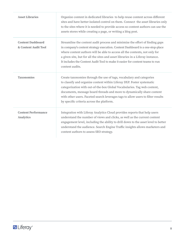| <b>Asset Libraries</b>                           | Organize content in dedicated libraries to help reuse content across different<br>sites and have better-isolated control on them. Connect the asset libraries only<br>to the sites where it is needed to provide access so content authors can use the<br>assets stores while creating a page, or writing a blog post.                                                                                                                |
|--------------------------------------------------|---------------------------------------------------------------------------------------------------------------------------------------------------------------------------------------------------------------------------------------------------------------------------------------------------------------------------------------------------------------------------------------------------------------------------------------|
| <b>Content Dashboard</b><br>& Content Audit Tool | Streamline the content audit process and minimize the effort of finding gaps<br>in company's content strategy execution. Content Dashboard is a one-stop-place<br>where content authors will be able to access all the contents, not only for<br>a given site, but for all the sites and asset libraries in a Liferay instance.<br>It includes the Content Audit Tool to make it easier for content teams to run<br>content audits.   |
| <b>Taxonomies</b>                                | Create taxonomies through the use of tags, vocabulary and categories<br>to classify and organize content within Liferay DXP. Foster systematic<br>categorization with out-of-the-box Global Vocabularies. Tag web content,<br>documents, message board threads and more to dynamically share content<br>with other users. Faceted search leverages tags to allow users to filter results<br>by specific criteria across the platform. |
| <b>Content Performance</b><br>Analytics          | Integration with Liferay Analytics Cloud provides reports that help users<br>understand the number of views and clicks, as well as the current content<br>engagement level, including the ability to drill down to the asset level to better<br>understand the audience. Search Engine Traffic insights allows marketers and<br>content authors to assess SEO strategy.                                                               |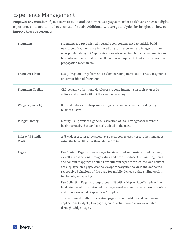#### <span id="page-10-0"></span>Experience Management

Empower any member of your team to build and customize web pages in order to deliver enhanced digital experiences that are tailored to your users' needs. Additionally, leverage analytics for insights on how to improve these experiences.

| <b>Fragments</b>                           | Fragments are predesigned, reusable components used to quickly build<br>new pages. Fragments use inline editing to change text and images and can<br>incorporate Liferay DXP applications for advanced functionality. Fragments can<br>be configured to be updated to all pages when updated thanks to an automatic<br>propagation mechanism.                                                                                       |
|--------------------------------------------|-------------------------------------------------------------------------------------------------------------------------------------------------------------------------------------------------------------------------------------------------------------------------------------------------------------------------------------------------------------------------------------------------------------------------------------|
| <b>Fragment Editor</b>                     | Easily drag-and-drop from OOTB element/component sets to create fragments<br>or composition of fragments.                                                                                                                                                                                                                                                                                                                           |
| <b>Fragments Toolkit</b>                   | CLI tool allows front-end developers to code fragments in their own code<br>editors and upload without the need to redeploy.                                                                                                                                                                                                                                                                                                        |
| <b>Widgets (Portlets)</b>                  | Reusable, drag-and-drop and configurable widgets can be used by any<br>business users.                                                                                                                                                                                                                                                                                                                                              |
| <b>Widget Library</b>                      | Liferay DXP provides a generous selection of OOTB widgets for different<br>business needs, that can be easily added to the page.                                                                                                                                                                                                                                                                                                    |
| <b>Liferay JS Bundle</b><br><b>Toolkit</b> | A JS widget creator allows non-java developers to easily create frontend apps<br>using the latest libraries through the CLI tool.                                                                                                                                                                                                                                                                                                   |
| Pages                                      | Use Content Pages to create pages for structured and unstructured content,<br>as well as applications through a drag-and-drop interface. Use page fragments<br>and content mapping to define how different types of structured web content<br>are displayed on a page. Use the Viewport navigation to view and define the<br>responsive behaviour of the page for mobile devices using styling options<br>for layouts, and spacing. |
|                                            | Use Collection Pages to group pages built with a Display Page Template. It will<br>facilitate the administration of the pages resulting from a collection of content<br>and their associated Display Page Template.                                                                                                                                                                                                                 |
|                                            | The traditional method of creating pages through adding and configuring<br>applications (widgets) to a page layout of columns and rows is available<br>through Widget Pages.                                                                                                                                                                                                                                                        |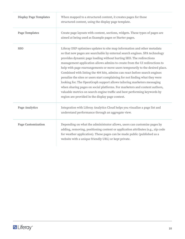| <b>Display Page Templates</b> | When mapped to a structured content, it creates pages for those<br>structured content, using the display page template.                                                                                                                                                                                                                                                                                                                                                                                                                                                                                                                                                                                                                                                                                                                               |
|-------------------------------|-------------------------------------------------------------------------------------------------------------------------------------------------------------------------------------------------------------------------------------------------------------------------------------------------------------------------------------------------------------------------------------------------------------------------------------------------------------------------------------------------------------------------------------------------------------------------------------------------------------------------------------------------------------------------------------------------------------------------------------------------------------------------------------------------------------------------------------------------------|
| <b>Page Templates</b>         | Create page layouts with content, sections, widgets. These types of pages are<br>aimed at being used as Example pages or Starter pages.                                                                                                                                                                                                                                                                                                                                                                                                                                                                                                                                                                                                                                                                                                               |
| <b>SEO</b>                    | Liferay DXP optimizes updates to site map information and other metadata<br>so that new pages are searchable by external search engines. SPA technology<br>provides dynamic page loading without hurting SEO. The redirections<br>management application allows admins to create from the UI redirections to<br>help with page rearrangements or move users temporarily to the desired place.<br>Combined with listing the 404 hits, admins can react before search engines<br>penalize the sites or users start complaining for not finding what they were<br>looking for. The OpenGraph support allows tailoring marketers messaging<br>when sharing pages on social platforms. For marketers and content authors,<br>valuable metrics on search engine traffic and best performing keywords by<br>region are provided in the display page context. |
| <b>Page Analytics</b>         | Integration with Liferay Analytics Cloud helps you visualize a page list and<br>understand performance through an aggregate view.                                                                                                                                                                                                                                                                                                                                                                                                                                                                                                                                                                                                                                                                                                                     |
| Page Customization            | Depending on what the administrator allows, users can customize pages by<br>adding, removing, positioning content or application attributes (e.g., zip code<br>for weather application). These pages can be made public (published as a<br>website with a unique friendly URL) or kept private.                                                                                                                                                                                                                                                                                                                                                                                                                                                                                                                                                       |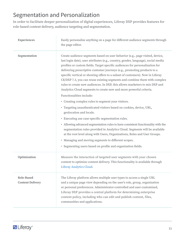#### <span id="page-12-0"></span>Segmentation and Personalization

In order to facilitate deeper personalization of digital experiences, Liferay DXP provides features for role-based content delivery, audience targeting and segmentation.

| Experiences                                  | Easily personalize anything on a page for different audience segments through<br>the page editor.                                                                                                                                                                                                                                                                                                                                                                                                                                                                                                                                                                                                                                                                                                                                                                                                                                                                                                                                                                                                                                                                                                                                                               |
|----------------------------------------------|-----------------------------------------------------------------------------------------------------------------------------------------------------------------------------------------------------------------------------------------------------------------------------------------------------------------------------------------------------------------------------------------------------------------------------------------------------------------------------------------------------------------------------------------------------------------------------------------------------------------------------------------------------------------------------------------------------------------------------------------------------------------------------------------------------------------------------------------------------------------------------------------------------------------------------------------------------------------------------------------------------------------------------------------------------------------------------------------------------------------------------------------------------------------------------------------------------------------------------------------------------------------|
| Segmentation                                 | Create audience segments based on user behavior (e.g., page visited, device,<br>last login date), user attributes (e.g., country, gender, language), social media<br>profiles or custom fields. Target specific audiences for personalization for<br>delivering prescriptive customer journeys (e.g., promoting products to a<br>specific vertical or showing offers to a subset of customers). Now in Liferay<br>CE/DXP 7.3, you can reuse existing segments and combine them with complex<br>rules to create new audiences. In DXP, this allows marketers to mix DXP and<br>Analytics Cloud segments to create new and more powerful criteria.<br>Functionalities include:<br>• Creating complex rules to segment your visitors.<br>· Targeting unauthenticated visitors based on cookies, device, URL,<br>geolocation and locale.<br>• Executing use case-specific segmentation rules.<br>• Allowing advanced segmentation rules to have consistent functionality with the<br>segmentation rules provided in Analytics Cloud. Segments will be available<br>at the root level along with Users, Organizations, Roles and User Groups.<br>• Managing and moving segments to different scopes.<br>· Segmenting users based on profile and organization fields. |
| Optimization                                 | Measure the interaction of targeted user segments with your chosen<br>content to optimize content delivery. This functionality is available through<br>Liferay Analytics Cloud.                                                                                                                                                                                                                                                                                                                                                                                                                                                                                                                                                                                                                                                                                                                                                                                                                                                                                                                                                                                                                                                                                 |
| <b>Role-Based</b><br><b>Content Delivery</b> | The Liferay platform allows multiple user types to access a single URL<br>and a unique page view depending on the user's role, group, organization<br>or personal preferences. Administrator-controlled and user-customized,<br>Liferay DXP provides a central platform for determining enterprise<br>content policy, including who can edit and publish content, files,<br>communities and applications.                                                                                                                                                                                                                                                                                                                                                                                                                                                                                                                                                                                                                                                                                                                                                                                                                                                       |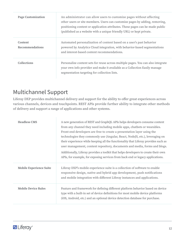<span id="page-13-0"></span>

| <b>Page Customization</b>         | An administrator can allow users to customize pages without affecting<br>other users or site members. Users can customize pages by adding, removing,<br>positioning content or application attributes. These pages can be made public<br>(published as a website with a unique friendly URL) or kept private. |
|-----------------------------------|---------------------------------------------------------------------------------------------------------------------------------------------------------------------------------------------------------------------------------------------------------------------------------------------------------------|
| Content<br><b>Recommendations</b> | Automated personalization of content based on a user's past behavior<br>powered by Analytics Cloud integration, with behavior-based segmentations<br>and interest-based content recommendations.                                                                                                              |
| <b>Collections</b>                | Personalize content sets for reuse across multiple pages. You can also integrate<br>your own info provider and make it available as a Collection Easily manage<br>segmentation targeting for collection lists.                                                                                                |

#### Multichannel Support

Liferay DXP provides multichannel delivery and support for the ability to offer great experiences across various channels, devices and touchpoints. REST APIs provide further ability to integrate other methods of delivery and support a range of applications and other systems.

| <b>Headless CMS</b>            | A new generation of REST and GraphQL APIs helps developers consume content<br>from any channel they need including mobile apps, chatbots or wearables.<br>Front-end developers are free to create a presentation layer using the<br>technologies they commonly use (Angular, React, NodeJS, etc.), leveraging on<br>their experience while keeping all the functionality that Liferay provides such as<br>user management, content repository, documents and media, forms and blogs.<br>Additionally, Liferay provides a toolkit that helps developers to create their own<br>APIs, for example, for exposing services from back end or legacy applications. |
|--------------------------------|--------------------------------------------------------------------------------------------------------------------------------------------------------------------------------------------------------------------------------------------------------------------------------------------------------------------------------------------------------------------------------------------------------------------------------------------------------------------------------------------------------------------------------------------------------------------------------------------------------------------------------------------------------------|
| <b>Mobile Experience Suite</b> | Liferay DXP's mobile experience suite is a collection of software to enable<br>responsive design, native and hybrid app development, push notifications<br>and mobile integration with different Liferay instances and applications.                                                                                                                                                                                                                                                                                                                                                                                                                         |
| <b>Mobile Device Rules</b>     | Feature and framework for defining different platform behavior based on device<br>type with a built-in set of device definitions for most mobile device platforms<br>(iOS, Android, etc.) and an optional device detection database for purchase.                                                                                                                                                                                                                                                                                                                                                                                                            |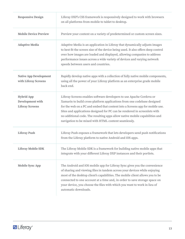| <b>Responsive Design</b>                                        | Liferay DXP's CSS framework is responsively designed to work with browsers<br>on all platforms from mobile to tablet to desktop.                                                                                                                                                                                                                                                                                                                     |
|-----------------------------------------------------------------|------------------------------------------------------------------------------------------------------------------------------------------------------------------------------------------------------------------------------------------------------------------------------------------------------------------------------------------------------------------------------------------------------------------------------------------------------|
| <b>Mobile Device Preview</b>                                    | Preview your content on a variety of predetermined or custom screen sizes.                                                                                                                                                                                                                                                                                                                                                                           |
| <b>Adaptive Media</b>                                           | Adaptive Media is an application in Liferay that dynamically adjusts images<br>to best fit the screen size of the device being used. It also offers deep control<br>over how images are loaded and displayed, allowing companies to address<br>performance issues across a wide variety of devices and varying network<br>speeds between users and countries.                                                                                        |
| <b>Native App Development</b><br>with Liferay Screens           | Rapidly develop native apps with a collection of fully native mobile components,<br>using all the power of your Liferay platform as an enterprise grade mobile<br>back end.                                                                                                                                                                                                                                                                          |
| <b>Hybrid App</b><br>Development with<br><b>Liferay Screens</b> | Liferay Screens enables software developers to use Apache Cordova or<br>Xamarin to build cross-platform applications from one codebase designed<br>for the web on a PC and embed that content into a Screens app for mobile use.<br>Sites and applications designed for PC can be rendered in screenlets with<br>no additional code. The resulting apps allow native mobile capabilities and<br>navigation to be mixed with HTML content seamlessly. |
| <b>Liferay Push</b>                                             | Liferay Push exposes a framework that lets developers send push notifications<br>from the Liferay platform to native Android and iOS apps.                                                                                                                                                                                                                                                                                                           |
| <b>Liferay Mobile SDK</b>                                       | The Liferay Mobile SDK is a framework for building native mobile apps that<br>integrate with your different Liferay DXP instances and their portlets.                                                                                                                                                                                                                                                                                                |
| Mobile Sync App                                                 | The Android and iOS mobile app for Liferay Sync gives you the convenience<br>of sharing and viewing files in tandem across your devices while enjoying<br>most of the desktop client's capabilities. The mobile client allows you to be<br>connected to one account at a time and, in order to save storage space on<br>your device, you choose the files with which you want to work in lieu of<br>automatic downloads.                             |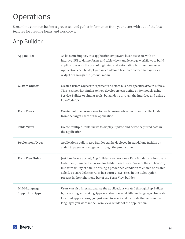# <span id="page-15-0"></span>**Operations**

Streamline common business processes and gather information from your users with out-of-the-box features for creating forms and workflows.

### App Builder

| <b>App Builder</b>                        | As its name implies, this application empowers business users with an<br>intuitive GUI to define forms and table views and leverage workflows to build<br>applications with the goal of digitizing and automating business processes.<br>Applications can be deployed in standalone fashion or added to pages as a<br>widget or through the product menu.                                           |
|-------------------------------------------|-----------------------------------------------------------------------------------------------------------------------------------------------------------------------------------------------------------------------------------------------------------------------------------------------------------------------------------------------------------------------------------------------------|
| <b>Custom Objects</b>                     | Create Custom Objects to represent and store business specifics data in Liferay.<br>This is somewhat similar to how developers can define entity models using<br>Service Builder or similar tools, but all done through the interface and using a<br>Low-Code UX.                                                                                                                                   |
| <b>Form Views</b>                         | Create multiple Form Views for each custom object in order to collect data<br>from the target users of the application.                                                                                                                                                                                                                                                                             |
| <b>Table Views</b>                        | Create multiple Table Views to display, update and delete captured data in<br>the application.                                                                                                                                                                                                                                                                                                      |
| <b>Deployment Types</b>                   | Applications built in App Builder can be deployed in standalone fashion or<br>added to pages as a widget or through the product menu.                                                                                                                                                                                                                                                               |
| <b>Form View Rules</b>                    | Just like Forms portlet, App Builder also provides a Rule Builder to allow users<br>to define dynamical behaviors for fields of each Form View of the application,<br>like set visibility of a field or using a predefined condition to enable or disable<br>a field. To start defining rules in a Form Views, click in the Rules option<br>present in the right menu bar of the Form View builder. |
| Multi-Language<br><b>Support for Apps</b> | Users can also internationalize the applications created through App Builder<br>by translating and making Apps available in several different languages. To create<br>localized applications, you just need to select and translate the fields to the<br>languages you want in the Form View Builder of the application.                                                                            |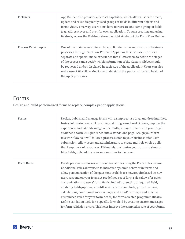<span id="page-16-0"></span>

| <b>Fieldsets</b>           | App Builder also provides a fieldset capability, which allows users to create,<br>update and reuse frequently used groups of fields in different objects and<br>forms views. This way, users don't have to recreate one same group of fields<br>(e.g. address) over and over for each application. To start creating and using<br>fieldsets, access the Fieldset tab on the right sidebar of the Form View Builder.                                                                                   |
|----------------------------|-------------------------------------------------------------------------------------------------------------------------------------------------------------------------------------------------------------------------------------------------------------------------------------------------------------------------------------------------------------------------------------------------------------------------------------------------------------------------------------------------------|
| <b>Process Driven Apps</b> | One of the main values offered by App Builder is the automation of business<br>processes through Workflow Powered Apps. For this use case, we offer a<br>separate and special-made experience that allows users to define the stages<br>of the process and specify which information of the Custom Object should<br>be requested and/or displayed in each step of the application. Users can also<br>make use of Workflow Metrics to understand the performance and health of<br>the App's processes. |

#### Forms

Design and build personalized forms to replace complex paper applications.

| <b>Forms</b>      | Design, publish and manage forms with a simple-to-use drag-and-drop interface.<br>Instead of making users fill up a long and tiring form, break it down, improve the<br>experience and take advantage of the multiple pages. Share with your target<br>audience a form URL published into a standalone page. Assign your form<br>to a workflow so it will follow a process suited to your business after user<br>submission. Allow users and administrators to create multiple choice polls<br>that keep track of responses. Ultimately, customize your forms to show or<br>hide fields, only asking relevant questions to the users.                                                                                                                                                                                 |
|-------------------|-----------------------------------------------------------------------------------------------------------------------------------------------------------------------------------------------------------------------------------------------------------------------------------------------------------------------------------------------------------------------------------------------------------------------------------------------------------------------------------------------------------------------------------------------------------------------------------------------------------------------------------------------------------------------------------------------------------------------------------------------------------------------------------------------------------------------|
| <b>Form Rules</b> | Create personalized forms with conditional rules using the Form Rules feature.<br>Conditional rules allow users to introduce dynamic behavior in forms and<br>allow personalization of the questions or fields to show/require based on how<br>users respond on your forms. A predefined set of form rules allows for quick<br>customizations to users' form fields, including: setting a required field,<br>enabling fields/options, autofill selects, show and hide, jump to a page,<br>calculations, conditional success pages and an API to create and execute<br>customized rules for your form needs, for forms created programmatically.<br>Define validation logic for a specific form field by creating custom messages<br>for form validation errors. This helps improve the completion rate of your forms. |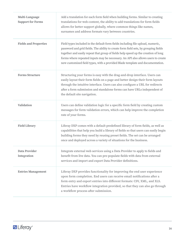| Multi-Language<br><b>Support for Forms</b> | Add a translation for each form field when building forms. Similar to creating<br>translations for web content, the ability to add translations for form fields<br>allows for better support globally, where common things like names,<br>surnames and address formats vary between countries.                                                                                                                                    |
|--------------------------------------------|-----------------------------------------------------------------------------------------------------------------------------------------------------------------------------------------------------------------------------------------------------------------------------------------------------------------------------------------------------------------------------------------------------------------------------------|
| <b>Fields and Properties</b>               | Field types included in the default form fields including file upload, numeric,<br>password and grid fields. The ability to create form field sets, by grouping fields<br>together and easily repeat that group of fields help speed up the creation of long<br>forms where repeated inputs may be necessary. An API also allows users to create<br>new customized field types, with a provided Blade template and documentation. |
| <b>Forms Structure</b>                     | Structuring your forms is easy with the drag-and-drop interface. Users can<br>easily layout their form fields on a page and better design their form layouts<br>through the intuitive interface. Users can also configure a URL for redirects<br>after a form submission and standalone forms can have URLs independent of<br>the default site navigation.                                                                        |
| Validation                                 | Users can define validation logic for a specific form field by creating custom<br>messages for form validation errors, which can help improve the completion<br>rate of your forms.                                                                                                                                                                                                                                               |
| <b>Field Library</b>                       | Liferay DXP comes with a default predefined library of form fields, as well as<br>capabilities that help you build a library of fields so that users can easily begin<br>building forms they need by reusing preset fields. The set can be arranged<br>once and deployed across a variety of situations for the business.                                                                                                         |
| Data Provider<br>Integration               | Integrate external web services using a Data Provider to apply to fields and<br>benefit from live data. You can pre-populate fields with data from external<br>services and import and export Data Provider definitions.                                                                                                                                                                                                          |
| <b>Entries Management</b>                  | Liferay DXP provides functionality for improving the end user experience<br>upon form completion. End users can receive email notifications after a<br>form entry and export entries into different formats: CSV, XML, and XLS.<br>Entries have workflow integration provided, so that they can also go through<br>a workflow process after submission.                                                                           |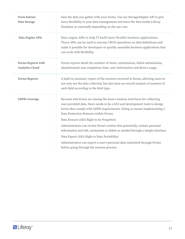| <b>Form Entries</b><br>Data Storage                 | Save the data you gather with your forms. Use our StorageAdapter API to give<br>more flexibility to your data management and store the data inside Liferay<br>Database or externally depending on the use case.                                                                                                                                                                                                                                                                                                                                                                                                                                                |
|-----------------------------------------------------|----------------------------------------------------------------------------------------------------------------------------------------------------------------------------------------------------------------------------------------------------------------------------------------------------------------------------------------------------------------------------------------------------------------------------------------------------------------------------------------------------------------------------------------------------------------------------------------------------------------------------------------------------------------|
| Data Engine APIs                                    | Data engine APIs to help IT build more flexible business applications.<br>These APIs can be used to execute CRUD operations on data definitions and<br>make it possible for developers to quickly assemble business applications that<br>can scale with flexibility.                                                                                                                                                                                                                                                                                                                                                                                           |
| <b>Forms Reports with</b><br><b>Analytics Cloud</b> | Forms reports detail the number of views, submissions, failed submissions,<br>abandonment and completion time, user information and device usage.                                                                                                                                                                                                                                                                                                                                                                                                                                                                                                              |
| <b>Forms Reports</b>                                | A built-in summary report of the answers received in forms, allowing users to<br>not only see the data collected, but also have an overall analysis of answers of<br>each field according to the field type.                                                                                                                                                                                                                                                                                                                                                                                                                                                   |
| <b>GDPR Coverage</b>                                | Because web forms are among the most common interfaces for collecting<br>user-provided data, there needs to be a GUI and development tools to design<br>forms that comply with GDPR requirements. Doing so means implementing 2<br>Data Protection Features within Forms.<br>Data Erasure (AKA Right to be Forgotten)<br>Administrators can review Form's entries that potentially contain personal<br>information and edit, anonymize or delete as needed through a simple interface.<br>Data Export (AKA Right to Data Portability)<br>Administrators can export a user's personal data submitted through Forms<br>before going through the erasure process. |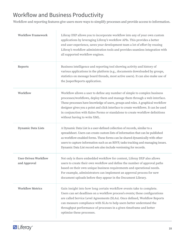#### <span id="page-19-0"></span>Workflow and Business Productivity

Workflow and reporting features give users more ways to simplify processes and provide access to information.

| <b>Workflow Framework</b>                   | Liferay DXP allows you to incorporate workflow into any of your own custom<br>applications by leveraging Liferay's workflow APIs. This provides a better<br>end user experience, saves your development team a lot of effort by reusing<br>Liferay's workflow administration tools and provides seamless integration with<br>all supported workflow engines.                                                                                    |
|---------------------------------------------|-------------------------------------------------------------------------------------------------------------------------------------------------------------------------------------------------------------------------------------------------------------------------------------------------------------------------------------------------------------------------------------------------------------------------------------------------|
| Reports                                     | Business intelligence and reporting tool showing activity and history of<br>various applications in the platform (e.g., documents downloaded by groups,<br>statistics on message board threads, most active users). It can also make use of<br>the JasperReports application.                                                                                                                                                                   |
| Workflow                                    | Workflow allows a user to define any number of simple to complex business<br>processes/workflows, deploy them and manage them through a web interface.<br>These processes have knowledge of users, groups and roles. A graphical workflow<br>designer gives you a point and click interface to create workflows. It can be used<br>in conjunction with Kaleo Forms or standalone to create workflow definitions<br>without having to write XML. |
| Dynamic Data Lists                          | A Dynamic Data List is a user-defined collection of records, similar to a<br>spreadsheet. Users can create custom lists of information that can be published<br>as workflow-enabled forms. These forms can be shared dynamically with other<br>users to capture information such as an RSVP, tasks tracking and managing issues.<br>Dynamic Data List record sets also include versioning for records.                                          |
| <b>User-Driven Workflow</b><br>and Approval | Not only is there embedded workflow for content, Liferay DXP also allows<br>users to create their own workflow and define the number of approval paths<br>based on their own unique business requirements and operational needs.<br>For example, administrators can implement an approval process for new<br>document uploads before they appear in the Document Library.                                                                       |
| <b>Workflow Metrics</b>                     | Gain insight into how long certain workflow events take to complete.<br>Users can set deadlines on a workflow process's events; these configurations<br>are called Service Level Agreements (SLAs). Once defined, Workflow Reports<br>can measure compliance with SLAs to help users better understand the<br>throughput performance of processes in a given timeframe and better<br>optimize these processes.                                  |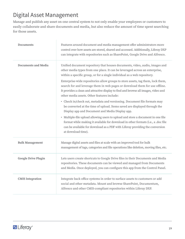### <span id="page-20-1"></span><span id="page-20-0"></span>Digital Asset Management

Manage and publish any asset on one central system to not only enable your employees or customers to easily collaborate and share documents and media, but also reduce the amount of time spent searching for those assets.

| <b>Documents</b>           | Features around document and media management offer administrators more<br>control over how assets are stored, shared and accessed. Additionally, Liferay DXP<br>can integrate with repositories such as SharePoint, Google Drive and Alfresco.                                                                                                                                                                                                                                                                                                |
|----------------------------|------------------------------------------------------------------------------------------------------------------------------------------------------------------------------------------------------------------------------------------------------------------------------------------------------------------------------------------------------------------------------------------------------------------------------------------------------------------------------------------------------------------------------------------------|
| <b>Documents and Media</b> | Unified document repository that houses documents, video, audio, images and<br>other media types from one place. It can be leveraged across an enterprise,<br>within a specific group, or for a single individual as a web repository.<br>Enterprise-wide repositories allow groups to store assets, tag them, lock them,<br>search for and leverage them in web pages or download them for use offline.<br>It provides a clean and attractive display to find and browse all images, video and<br>other media assets. Other features include: |
|                            | • Check in/check out, metadata and versioning. Document file formats may<br>be converted at the time of upload. Items saved are displayed through the<br>Display app and Document and Media Display app.<br>• Multiple-file upload allowing users to upload and store a document in one file<br>format while making it available for download in other formats (i.e., a .doc file<br>can be available for download as a PDF with Liferay providing the conversion<br>at download time).                                                        |
| <b>Bulk Management</b>     | Manage digital assets and files at scale with an improved tool for bulk<br>management of tags, categories and file operations like deletion, moving files, etc.                                                                                                                                                                                                                                                                                                                                                                                |
| <b>Google Drive Plugin</b> | Lets users create shortcuts to Google Drive files in their Documents and Media<br>repositories. These documents can be viewed and managed from Documents<br>and Media. Once deployed, you can configure this app from the Control Panel.                                                                                                                                                                                                                                                                                                       |
| <b>CMIS</b> Integration    | Integrate back office systems in order to surface assets to customers or add<br>social and other metadata. Mount and browse SharePoint, Documentum,<br>Alfresco and other CMIS-compliant repositories within Liferay DXP.                                                                                                                                                                                                                                                                                                                      |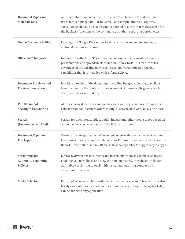| <b>Document Types and</b><br><b>Metadata Sets</b>                | Administrators can create their own custom metadata sets and document<br>types into language familiar to users. For example, financial reports,<br>surveillance videos, and so on can be defined in a way that makes sense for<br>the business functions of the content (e.g., author, reporting period, etc.). |
|------------------------------------------------------------------|-----------------------------------------------------------------------------------------------------------------------------------------------------------------------------------------------------------------------------------------------------------------------------------------------------------------|
| <b>Online Document Editing</b>                                   | Leverage the Google Docs editor to allow activities related to creating and<br>editing documents via portal.                                                                                                                                                                                                    |
| Office 365™ Integration                                          | Integration with Office 365 allows the creation and editing of documents,<br>presentations and spreadsheets stored in Liferay DXP. This feature takes<br>advantage of the existing permissions system, versioning and sharing<br>capabilities that it is included with Liferay DXP 7.2.                         |
| <b>Document Previews and</b><br><b>Preview Generation</b>        | Provide a preview of the document (including images, videos, audio clips)<br>to easily identify the content of the document. Automatically generate a full<br>document preview in Liferay DXP.                                                                                                                  |
| <b>P2P Document</b><br><b>Sharing/Asset Sharing</b>              | Allows sharing documents and media assets with registered users to increase<br>collaboration for instances where multiple users need to work on a single asset.                                                                                                                                                 |
| Search<br>(Documents and Media)                                  | Search for documents, video, audio, images and other media types based off<br>of file names, tags, metadata and the file's text content.                                                                                                                                                                        |
| Document Types and<br><b>File Types</b>                          | Create and manage abstracted document assets with specific metadata common<br>to all assets of its type, such as: Request for Proposal, Statement of Work, Annual<br>Report, Presentation. Liferay DXP also has the capability to support any file type.                                                        |
| Versioning and<br><b>Automatic Versioning</b><br><b>Policies</b> | Liferay DXP versions documents and increments them as you make changes,<br>enabling you to rollback and view the version history. Introduces intelligent/<br>definable versioning to enrich historical and auditing context of a<br>document's lifecycle.                                                       |
| <b>Media Selector</b>                                            | Easily upload or select files with the built-in media selector. This feature is also<br>highly extensible so that new sources of media (e.g., Google, Flickr, YouTube)<br>can be added to any application.                                                                                                      |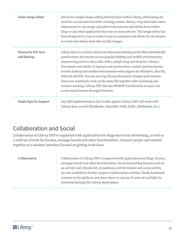<span id="page-22-0"></span>

| <b>Inline Image Editor</b>                 | Allows for simple image editing directly from within Liferay, eliminating the<br>need for an external tool while creating content. Resize, crop and make colors<br>adjustments to any image uploaded to Documents and Media from within<br>blogs or any other application that uses an item selector. The image editor has<br>been designed in a way to make it easy to customize and allows for developers<br>to create and deploy tools that modify images.                                                                                                                                                                                                                   |
|--------------------------------------------|---------------------------------------------------------------------------------------------------------------------------------------------------------------------------------------------------------------------------------------------------------------------------------------------------------------------------------------------------------------------------------------------------------------------------------------------------------------------------------------------------------------------------------------------------------------------------------------------------------------------------------------------------------------------------------|
| <b>Enterprise File Sync</b><br>and Sharing | Liferay Sync is a central, easy-to-use document sharing service that automatically<br>synchronizes documents across popular desktop and mobile environments,<br>empowering users to share files with a simple drag-and-drop for Liferay's<br>Documents and Media. It exposes and synchronizes content and documents<br>to both desktop and mobile environments with support for Windows, Mac OS,<br>Android and iOS. You can also log all your document changes and versions.<br>Users can seamlessly work on the same file together with versioning and<br>revision tracking. Liferay DXP also has WebDAV functionality so users can<br>access shared assets through browsers. |
| <b>Single Sign On Support</b>              | Any SSO implementation that works against Liferay DXP will work with<br>Liferay Sync as well (SiteMinder, OpenSSO, OAM, SAML, Shibboleth, etc.).                                                                                                                                                                                                                                                                                                                                                                                                                                                                                                                                |

#### Collaboration and Social

Collaboration in Liferay DXP is supported with applications for blogs and social networking, as well as a solid set of tools for forums, message boards and other functionalities. Connect people and systems together on a modern interface focused on getting work done.

**Collaboration** Collaboration in Liferay DXP is supported with applications for blogs, forums, message boards and other functionalities. Social networking features such as an activity wall, friends list, @ mentions, activity tracker and social activity are also available to further support collaboration activities. Easily bookmark contents in the platform and share them to a group of users all available for download through the Liferay Marketplace.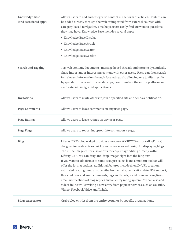| <b>Knowledge Base</b><br>(and associated apps) | Allows users to add and categorize content in the form of articles. Content can<br>be added directly through the web or imported from external sources with<br>category-based navigation. This helps users easily find answers to questions<br>they may have. Knowledge Base includes several apps:<br>• Knowledge Base Display<br>• Knowledge Base Article<br>• Knowledge Base Search<br>• Knowledge Base Section                                                                                                                                                                                                                                                                                                                                                                                                                                                   |
|------------------------------------------------|----------------------------------------------------------------------------------------------------------------------------------------------------------------------------------------------------------------------------------------------------------------------------------------------------------------------------------------------------------------------------------------------------------------------------------------------------------------------------------------------------------------------------------------------------------------------------------------------------------------------------------------------------------------------------------------------------------------------------------------------------------------------------------------------------------------------------------------------------------------------|
| <b>Search and Tagging</b>                      | Tag web content, documents, message board threads and more to dynamically<br>share important or interesting content with other users. Users can then search<br>for relevant information through faceted search, allowing one to filter results<br>by specific criteria within specific apps, communities, the entire platform and<br>even external integrated applications.                                                                                                                                                                                                                                                                                                                                                                                                                                                                                          |
| <b>Invitations</b>                             | Allows users to invite others to join a specified site and sends a notification.                                                                                                                                                                                                                                                                                                                                                                                                                                                                                                                                                                                                                                                                                                                                                                                     |
| <b>Page Comments</b>                           | Allows users to leave comments on any user page.                                                                                                                                                                                                                                                                                                                                                                                                                                                                                                                                                                                                                                                                                                                                                                                                                     |
| <b>Page Ratings</b>                            | Allows users to leave ratings on any user page.                                                                                                                                                                                                                                                                                                                                                                                                                                                                                                                                                                                                                                                                                                                                                                                                                      |
| <b>Page Flags</b>                              | Allows users to report inappropriate content on a page.                                                                                                                                                                                                                                                                                                                                                                                                                                                                                                                                                                                                                                                                                                                                                                                                              |
| <b>Blog</b>                                    | Liferay DXP's blog widget provides a modern WYSIWYG editor (AlloyEditor)<br>designed to create entries quickly and a modern card design for displaying blogs.<br>The inline image editor also allows for easy image editing directly within<br>Liferay DXP. You can drag-and-drop images right into the blog text.<br>If you want to add format to some text, just select it and a modern toolbar will<br>offer the format options. Additional features include friendly URL creation,<br>estimated reading time, unsubscribe from emails, publication date, RSS support,<br>threaded user and guest comments, tags and labels, social bookmarking links,<br>email notifications of blog replies and an entry rating system. You can also add<br>videos inline while writing a new entry from popular services such as YouTube,<br>Vimeo, Facebook Video and Twitch. |
| <b>Blogs Aggregator</b>                        | Grabs blog entries from the entire portal or by specific organizations.                                                                                                                                                                                                                                                                                                                                                                                                                                                                                                                                                                                                                                                                                                                                                                                              |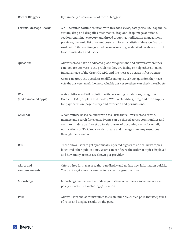| <b>Recent Bloggers</b>        | Dynamically displays a list of recent bloggers.                                                                                                                                                                                                                                                                                                                                                                                           |
|-------------------------------|-------------------------------------------------------------------------------------------------------------------------------------------------------------------------------------------------------------------------------------------------------------------------------------------------------------------------------------------------------------------------------------------------------------------------------------------|
| <b>Forums/Message Boards</b>  | A full-featured forums solution with threaded views, categories, RSS capability,<br>avatars, drag-and-drop file attachments, drag-and-drop image additions,<br>section renaming, category and thread grouping, notification management,<br>previews, dynamic list of recent posts and forum statistics. Message Boards<br>work with Liferay's fine-grained permissions to give detailed levels of control<br>to administrators and users. |
| Questions                     | Allow users to have a dedicated place for questions and answers where they<br>can look for answers to the problems they are facing or help others. It takes<br>full advantage of the GraphQL APIs and the message boards infrastructure.<br>Users can group the questions on different topics, ask any question they have,<br>vote the answers, mark the most valuable answer so others can check it easily, etc.                         |
| Wiki<br>(and associated apps) | A straightforward Wiki solution with versioning capabilities, categories,<br>Creole, HTML, or plain text modes, WYSIWYG editing, drag-and-drop support<br>for page creation, page history and reversion and permissions.                                                                                                                                                                                                                  |
| Calendar                      | A community-based calendar with task lists that allows users to create,<br>manage and search for events. Events can be shared across communities and<br>event reminders can be set up to alert users of upcoming events by email,<br>notifications or SMS. You can also create and manage company resources<br>through the calendar.                                                                                                      |
| <b>RSS</b>                    | These allow users to get dynamically updated digests of critical news topics,<br>blogs and other publications. Users can configure the order of topics displayed<br>and how many articles are shown per provider.                                                                                                                                                                                                                         |
| Alerts and<br>Announcements   | Offers a free form text area that can display and update new information quickly.<br>You can target announcements to readers by group or role.                                                                                                                                                                                                                                                                                            |
| Microblogs                    | Microblogs can be used to update your status on a Liferay social network and<br>post your activities including @ mentions.                                                                                                                                                                                                                                                                                                                |
| Polls                         | Allows users and administrators to create multiple choice polls that keep track<br>of votes and display results on the page.                                                                                                                                                                                                                                                                                                              |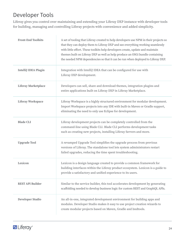#### <span id="page-25-0"></span>Developer Tools

Liferay gives you control over maintaining and extending your Liferay DXP instance with developer tools for building, managing and controlling Liferay projects with convenience and added simplicity.

| <b>Front-End Toolkits</b>   | A set of tooling that Liferay created to help developers use NPM in their projects so<br>that they can deploy them to Liferay DXP and see everything working seamlessly<br>with little effort. These toolkits help developers create, update and maintain<br>themes built on Liferay DXP as well as help produce an OSGi bundle containing<br>the needed NPM dependencies so that it can be run when deployed to Liferay DXP. |
|-----------------------------|-------------------------------------------------------------------------------------------------------------------------------------------------------------------------------------------------------------------------------------------------------------------------------------------------------------------------------------------------------------------------------------------------------------------------------|
| <b>IntelliJ IDEA Plugin</b> | Integration with IntelliJ IDEA that can be configured for use with<br>Liferay DXP development.                                                                                                                                                                                                                                                                                                                                |
| <b>Liferay Marketplace</b>  | Developers can sell, share and download themes, integration plugins and<br>entire applications built on Liferay DXP in Liferay Marketplace.                                                                                                                                                                                                                                                                                   |
| <b>Liferay Workspace</b>    | Liferay Workspace is a highly structured environment for modular development.<br>Import Workspace projects into any IDE with built-in Maven or Gradle support,<br>eliminating the need to only use Eclipse for development.                                                                                                                                                                                                   |
| <b>Blade CLI</b>            | Liferay development projects can be completely controlled from the<br>command-line using Blade CLI. Blade CLI performs development tasks<br>such as creating new projects, installing Liferay Servers and more.                                                                                                                                                                                                               |
| <b>Upgrade Tool</b>         | A revamped Upgrade Tool simplifies the upgrade process from previous<br>versions of Liferay. The standalone tool lets system administrators restart<br>failed upgrades, reducing the time spent troubleshooting.                                                                                                                                                                                                              |
| Lexicon                     | Lexicon is a design language created to provide a common framework for<br>building interfaces within the Liferay product ecosystem. Lexicon is a guide to<br>provide a satisfactory and unified experience to its users.                                                                                                                                                                                                      |
| <b>REST API Builder</b>     | Similar to the service builder, this tool accelerates development by generating<br>scaffolding needed to develop business logic for custom REST and GraphQL APIs.                                                                                                                                                                                                                                                             |
| Developer Studio            | An all-in-one, integrated development environment for building apps and<br>modules. Developer Studio makes it easy to use project creation wizards to<br>create modular projects based on Maven, Gradle and bndtools.                                                                                                                                                                                                         |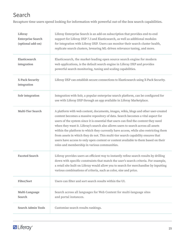### <span id="page-26-0"></span>Search

Recapture time users spend looking for information with powerful out-of-the-box search capabilities.

| Liferay<br><b>Enterprise Search</b><br>(optional add-on) | Liferay Enterprise Search is an add-on subscription that provides end-to-end<br>support for Liferay DXP 7.3 and Elasticsearch, as well as additional modules<br>for integration with Liferay DXP. Users can monitor their search cluster health,<br>replicate search clusters, levearing ML-driven relevance tuning, and more.                                                                                                                                                                                                                                                                                                                                       |
|----------------------------------------------------------|----------------------------------------------------------------------------------------------------------------------------------------------------------------------------------------------------------------------------------------------------------------------------------------------------------------------------------------------------------------------------------------------------------------------------------------------------------------------------------------------------------------------------------------------------------------------------------------------------------------------------------------------------------------------|
| Elasticsearch<br>integration                             | Elasticsearch, the market-leading open source search engine for modern<br>web applications, is the default search engine in Liferay DXP and provides<br>powerful search monitoring, tuning and scaling capabilities.                                                                                                                                                                                                                                                                                                                                                                                                                                                 |
| <b>X-Pack Security</b><br>integration                    | Liferay DXP can establish secure connections to Elasticsearch using X-Pack Security.                                                                                                                                                                                                                                                                                                                                                                                                                                                                                                                                                                                 |
| Solr integration                                         | Integration with Solr, a popular enterprise search platform, can be configured for<br>use with Liferay DXP through an app available in Liferay Marketplace.                                                                                                                                                                                                                                                                                                                                                                                                                                                                                                          |
| <b>Multi-Tier Search</b>                                 | A platform with web content, documents, images, wikis, blogs and other user-created<br>content becomes a massive repository of data. Search becomes a vital aspect for<br>users of the system since it is essential that users can find the content they need<br>when they want it. Liferay's search also allows users to search across all assets<br>within the platform to which they currently have access, while also restricting them<br>from assets in which they do not. This multi-tier search capability ensures that<br>users have access to only open content or content available to them based on their<br>roles and membership in various communities. |
| <b>Faceted Search</b>                                    | Liferay provides users an efficient way to instantly refine search results by drilling<br>down with specific constraints that match the user's search criteria. For example,<br>a retail site built on Liferay would allow you to search for merchandise by inputting<br>various combinations of criteria, such as color, size and price.                                                                                                                                                                                                                                                                                                                            |
| Filter/Sort                                              | Users can filter and sort search results within the UI.                                                                                                                                                                                                                                                                                                                                                                                                                                                                                                                                                                                                              |
| Multi-Language<br>Search                                 | Search across all languages for Web Content for multi-language sites<br>and portal instances.                                                                                                                                                                                                                                                                                                                                                                                                                                                                                                                                                                        |
| <b>Search Admin Tools</b>                                | Customize search results rankings.                                                                                                                                                                                                                                                                                                                                                                                                                                                                                                                                                                                                                                   |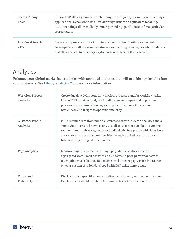<span id="page-27-0"></span>

| <b>Search Tuning</b><br><b>Tools</b>   | Liferay DXP allows granular search tuning via the Synonyms and Result Rankings<br>applications. Synonyms sets allow defining terms with equivalent meaning.<br>Result Rankings allow explicitly pinning or hiding specific results for a particular<br>search query. |
|----------------------------------------|----------------------------------------------------------------------------------------------------------------------------------------------------------------------------------------------------------------------------------------------------------------------|
| <b>Low-Level Search</b><br><b>APIS</b> | Leverage improved search APIs to interact with either Elasticsearch or Solr.<br>Developers can call the search engine without writing or using models or indexers<br>and allows access to every aggregator and query type of Elasticsearch.                          |

#### Analytics

Enhance your digital marketing strategies with powerful analytics that will provide key insights into your customers. See [Liferay Analytics Cloud](https://www.liferay.com/products/analytics-cloud?utm_source=whitepaper&utm_medium=content&utm_content=dxp%207.2%20features%20list) for more information.

| <b>Workflow Process</b><br>Analytics        | Create due date definitions for workflow processes and for workflow tasks.<br>Liferay DXP provides analytics for all instances of open and in progress<br>processes in real time allowing for easy identification of operational<br>bottlenecks and insight to optimize efficiency.                                                                       |
|---------------------------------------------|-----------------------------------------------------------------------------------------------------------------------------------------------------------------------------------------------------------------------------------------------------------------------------------------------------------------------------------------------------------|
| <b>Customer Profile</b><br>Analytics        | Pull customer data from multiple sources to create in-depth analytics and a<br>single view to create known users. Visualize customer data, build dynamic<br>segments and analyze segments and individuals. Integration with Salesforce<br>allows for enhanced customer profiles through tracked user and account<br>behavior on your digital touchpoints. |
| <b>Page Analytics</b>                       | Measure page performance through page data visualizations in an<br>aggregated view. Track behavior and understand page performance with<br>touchpoint charts, bounce rate metrics and time on page. Track interactions<br>on your custom solution developed with DXP using simple tags.                                                                   |
| <b>Traffic and</b><br><b>Path Analytics</b> | Display traffic types, filter and visualize paths for easy source identification.<br>Display assets and filter interactions on each asset by touchpoint.                                                                                                                                                                                                  |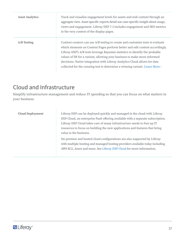<span id="page-28-0"></span>

| <b>Asset Analytics</b> | Track and visualize engagement levels for assets and web content through an<br>aggregate view. Asset-specific reports detail use case-specific insight about usage,<br>views and engagement. Liferay DXP 7.3 includes engagement and SEO metrics<br>in the very context of the display pages.                                                                                                                                                                                              |
|------------------------|--------------------------------------------------------------------------------------------------------------------------------------------------------------------------------------------------------------------------------------------------------------------------------------------------------------------------------------------------------------------------------------------------------------------------------------------------------------------------------------------|
| A/B Testing            | Content creators can use A/B testing to create and customize tests to evaluate<br>which elements on Content Pages perform better and edit content accordingly.<br>Liferay DXP's A/B tests leverage Bayesian statistics to identify the probable<br>values of lift for a variant, allowing your business to make more informed<br>decisions. Native integration with Liferay Analytics Cloud allows for data<br>collected for the running test to determine a winning variant. Learn More > |

#### Cloud and Infrastructure

 $\mathbf{I}$ 

Simplify infrastructure management and reduce IT spending so that you can focus on what matters in your business.

| <b>Cloud Deployment</b> | Liferay DXP can be deployed quickly and managed in the cloud with Liferay<br>DXP Cloud, an enterprise PaaS offering available with a separate subscription.<br>Liferay DXP Cloud takes care of many infrastructure needs to free up IT<br>resources to focus on building the new applications and features that bring<br>value to the business. |
|-------------------------|-------------------------------------------------------------------------------------------------------------------------------------------------------------------------------------------------------------------------------------------------------------------------------------------------------------------------------------------------|
|                         | On-premise and hosted cloud configurations are also supported by Liferay<br>with multiple hosting and managed hosting providers available today including<br>AWS EC2, Azure and more. See Liferay DXP Cloud for more information.                                                                                                               |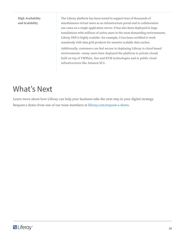<span id="page-29-0"></span>**High Availability and Scalability**

The Liferay platform has been tested to support tens of thousands of simultaneous virtual users as an infrastructure portal and in collaboration use cases on a single application server. It has also been deployed in large installations with millions of active users in the most demanding environments. Liferay DXP is highly scalable--for example, it has been certified to work seamlessly with data grid products for massive scalable data caches.

Additionally, customers can feel secure in deploying Liferay to cloud-based environments—many users have deployed the platform to private clouds built on top of VMWare, Xen and KVM technologies and to public cloud infrastructures like Amazon EC2.

# What's Next

Learn more about how Liferay can help your business take the next step in your digital strategy. Request a demo from one of our team members at [liferay.com/request-a-demo](https://www.liferay.com/request-a-demo?utm_source=whitepaper&utm_medium=content&utm_content=liferay%20dxp%207.2%20features%20overview).